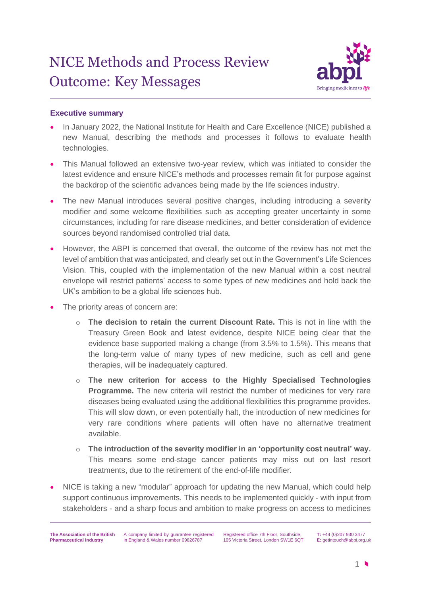

# **Executive summary**

- In January 2022, the National Institute for Health and Care Excellence (NICE) published a new Manual, describing the methods and processes it follows to evaluate health technologies.
- This Manual followed an extensive two-year review, which was initiated to consider the latest evidence and ensure NICE's methods and processes remain fit for purpose against the backdrop of the scientific advances being made by the life sciences industry.
- The new Manual introduces several positive changes, including introducing a severity modifier and some welcome flexibilities such as accepting greater uncertainty in some circumstances, including for rare disease medicines, and better consideration of evidence sources beyond randomised controlled trial data.
- However, the ABPI is concerned that overall, the outcome of the review has not met the level of ambition that was anticipated, and clearly set out in the Government's Life Sciences Vision. This, coupled with the implementation of the new Manual within a cost neutral envelope will restrict patients' access to some types of new medicines and hold back the UK's ambition to be a global life sciences hub.
- The priority areas of concern are:
	- o **The decision to retain the current Discount Rate.** This is not in line with the Treasury Green Book and latest evidence, despite NICE being clear that the evidence base supported making a change (from 3.5% to 1.5%). This means that the long-term value of many types of new medicine, such as cell and gene therapies, will be inadequately captured.
	- o **The new criterion for access to the Highly Specialised Technologies Programme.** The new criteria will restrict the number of medicines for very rare diseases being evaluated using the additional flexibilities this programme provides. This will slow down, or even potentially halt, the introduction of new medicines for very rare conditions where patients will often have no alternative treatment available.
	- o **The introduction of the severity modifier in an 'opportunity cost neutral' way.** This means some end-stage cancer patients may miss out on last resort treatments, due to the retirement of the end-of-life modifier.
- NICE is taking a new "modular" approach for updating the new Manual, which could help support continuous improvements. This needs to be implemented quickly - with input from stakeholders - and a sharp focus and ambition to make progress on access to medicines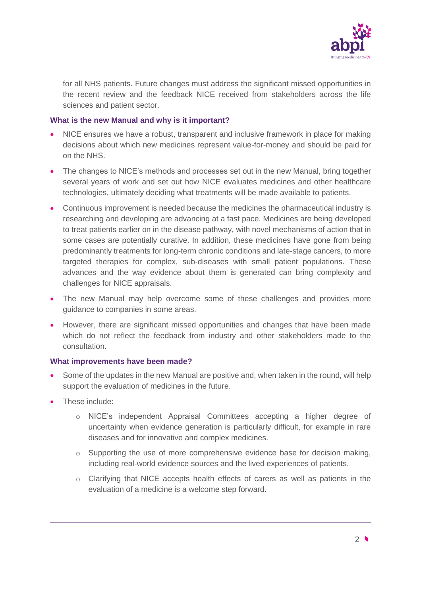

for all NHS patients. Future changes must address the significant missed opportunities in the recent review and the feedback NICE received from stakeholders across the life sciences and patient sector.

## **What is the new Manual and why is it important?**

- NICE ensures we have a robust, transparent and inclusive framework in place for making decisions about which new medicines represent value-for-money and should be paid for on the NHS.
- The changes to NICE's methods and processes set out in the new Manual, bring together several years of work and set out how NICE evaluates medicines and other healthcare technologies, ultimately deciding what treatments will be made available to patients.
- Continuous improvement is needed because the medicines the pharmaceutical industry is researching and developing are advancing at a fast pace. Medicines are being developed to treat patients earlier on in the disease pathway, with novel mechanisms of action that in some cases are potentially curative. In addition, these medicines have gone from being predominantly treatments for long-term chronic conditions and late-stage cancers, to more targeted therapies for complex, sub-diseases with small patient populations. These advances and the way evidence about them is generated can bring complexity and challenges for NICE appraisals.
- The new Manual may help overcome some of these challenges and provides more guidance to companies in some areas.
- However, there are significant missed opportunities and changes that have been made which do not reflect the feedback from industry and other stakeholders made to the consultation.

#### **What improvements have been made?**

- Some of the updates in the new Manual are positive and, when taken in the round, will help support the evaluation of medicines in the future.
- These include:
	- o NICE's independent Appraisal Committees accepting a higher degree of uncertainty when evidence generation is particularly difficult, for example in rare diseases and for innovative and complex medicines.
	- $\circ$  Supporting the use of more comprehensive evidence base for decision making, including real-world evidence sources and the lived experiences of patients.
	- o Clarifying that NICE accepts health effects of carers as well as patients in the evaluation of a medicine is a welcome step forward.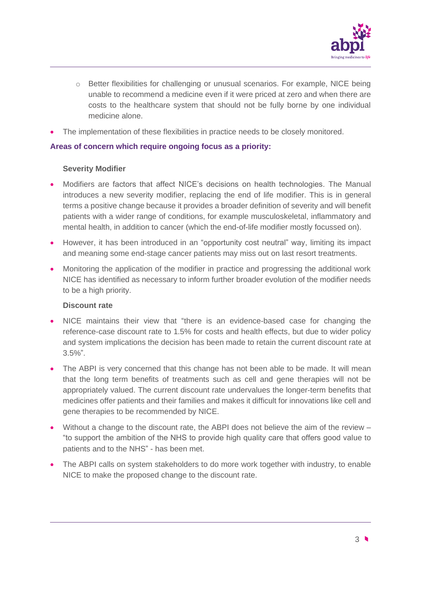

- $\circ$  Better flexibilities for challenging or unusual scenarios. For example, NICE being unable to recommend a medicine even if it were priced at zero and when there are costs to the healthcare system that should not be fully borne by one individual medicine alone.
- The implementation of these flexibilities in practice needs to be closely monitored.

## **Areas of concern which require ongoing focus as a priority:**

## **Severity Modifier**

- Modifiers are factors that affect NICE's decisions on health technologies. The Manual introduces a new severity modifier, replacing the end of life modifier. This is in general terms a positive change because it provides a broader definition of severity and will benefit patients with a wider range of conditions, for example musculoskeletal, inflammatory and mental health, in addition to cancer (which the end-of-life modifier mostly focussed on).
- However, it has been introduced in an "opportunity cost neutral" way, limiting its impact and meaning some end-stage cancer patients may miss out on last resort treatments.
- Monitoring the application of the modifier in practice and progressing the additional work NICE has identified as necessary to inform further broader evolution of the modifier needs to be a high priority.

#### **Discount rate**

- NICE maintains their view that "there is an evidence-based case for changing the reference-case discount rate to 1.5% for costs and health effects, but due to wider policy and system implications the decision has been made to retain the current discount rate at 3.5%".
- The ABPI is very concerned that this change has not been able to be made. It will mean that the long term benefits of treatments such as cell and gene therapies will not be appropriately valued. The current discount rate undervalues the longer-term benefits that medicines offer patients and their families and makes it difficult for innovations like cell and gene therapies to be recommended by NICE.
- Without a change to the discount rate, the ABPI does not believe the aim of the review "to support the ambition of the NHS to provide high quality care that offers good value to patients and to the NHS" - has been met.
- The ABPI calls on system stakeholders to do more work together with industry, to enable NICE to make the proposed change to the discount rate.